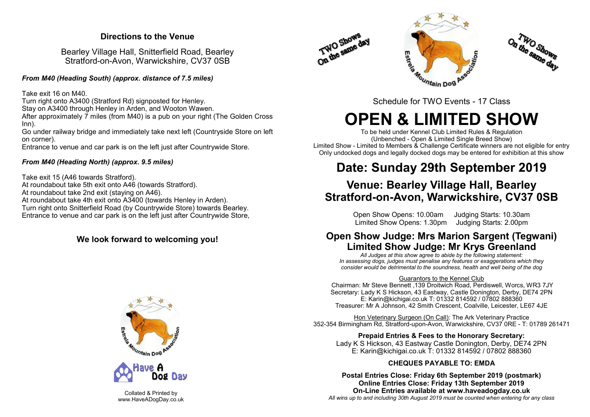### **Directions to the Venue**

Bearley Village Hall, Snitterfield Road, Bearley Stratford-on-Avon, Warwickshire, CV37 0SB

*From M40 (Heading South) (approx. distance of 7.5 miles)*

Take exit 16 on M40.

Turn right onto A3400 (Stratford Rd) signposted for Henley.

Stay on A3400 through Henley in Arden, and Wooton Wawen.

After approximately  $\overline{7}$  miles (from M40) is a pub on your right (The Golden Cross Inn).

Go under railway bridge and immediately take next left (Countryside Store on left on corner).

Entrance to venue and car park is on the left just after Countrywide Store.

### *From M40 (Heading North) (approx. 9.5 miles)*

Take exit 15 (A46 towards Stratford). At roundabout take 5th exit onto A46 (towards Stratford). At roundabout take 2nd exit (staying on A46). At roundabout take 4th exit onto A3400 (towards Henley in Arden). Turn right onto Snitterfield Road (by Countrywide Store) towards Bearley. Entrance to venue and car park is on the left just after Countrywide Store,

### **We look forward to welcoming you!**



Collated & Printed by www.HaveADogDay.co.uk







# **OPEN & LIMITED SHOW**

To be held under Kennel Club Limited Rules & Regulation (Unbenched - Open & Limited Single Breed Show) Limited Show - Limited to Members & Challenge Certificate winners are not eligible for entry Only undocked dogs and legally docked dogs may be entered for exhibition at this show

## **Date: Sunday 29th September 2019**

### **Venue: Bearley Village Hall, Bearley Stratford-on-Avon, Warwickshire, CV37 0SB**

Open Show Opens: 10.00am Judging Starts: 10.30am Limited Show Opens: 1.30pm Judging Starts: 2.00pm

### **Open Show Judge: Mrs Marion Sargent (Tegwani) Limited Show Judge: Mr Krys Greenland**

*All Judges at this show agree to abide by the following statement: In assessing dogs, judges must penalise any features or exaggerations which they consider would be detrimental to the soundness, health and well being of the dog*

### Guarantors to the Kennel Club

Chairman: Mr Steve Bennett ,139 Droitwich Road, Perdiswell, Worcs, WR3 7JY Secretary: Lady K S Hickson, 43 Eastway, Castle Donington, Derby, DE74 2PN E: Karin@kichigai.co.uk T: 01332 814592 / 07802 888360 Treasurer: Mr A Johnson, 42 Smith Crescent, Coalville, Leicester, LE67 4JE

Hon Veterinary Surgeon (On Call): The Ark Veterinary Practice 352-354 Birmingham Rd, Stratford-upon-Avon, Warwickshire, CV37 0RE - T: 01789 261471

**Prepaid Entries & Fees to the Honorary Secretary:** Lady K S Hickson, 43 Eastway Castle Donington, Derby, DE74 2PN E: Karin@kichigai.co.uk T: 01332 814592 / 07802 888360

### **CHEQUES PAYABLE TO: EMDA**

**Postal Entries Close: Friday 6th September 2019 (postmark) Online Entries Close: Friday 13th September 2019 On-Line Entries available at www.haveadogday.co.uk** *All wins up to and including 30th August 2019 must be counted when entering for any class*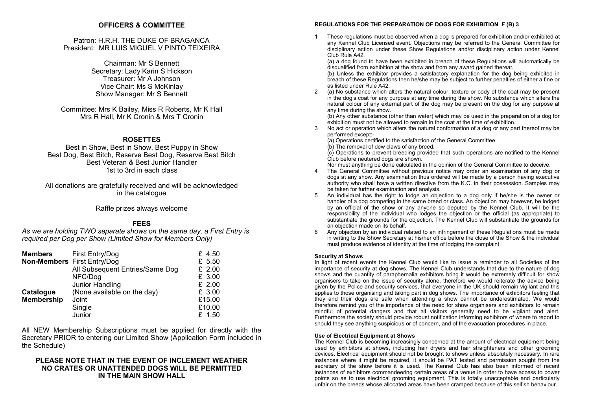### **OFFICERS & COMMITTEE**

Patron: H.R.H. THE DUKE OF BRAGANCA President: MR LUIS MIGUEL V PINTO TEIXEIRA

> Chairman: Mr S Bennett Secretary: Lady Karin S Hickson Treasurer: Mr A Johnson Vice Chair: Ms S McKinlay Show Manager: Mr S Bennett

Committee: Mrs K Bailey, Miss R Roberts, Mr K Hall Mrs R Hall, Mr K Cronin & Mrs T Cronin

### **ROSETTES**

Best in Show, Best in Show, Best Puppy in Show Best Dog, Best Bitch, Reserve Best Dog, Reserve Best Bitch Best Veteran & Best Junior Handler 1st to 3rd in each class

All donations are gratefully received and will be acknowledged in the catalogue

Raffle prizes always welcome

### **FEES**

*As we are holding TWO separate shows on the same day, a First Entry is required per Dog per Show (Limited Show for Members Only)*

| <b>Members</b>    | First Entry/Dog                 | £ 4.50   |
|-------------------|---------------------------------|----------|
|                   | Non-Members First Entry/Dog     | £ 5.50   |
|                   | All Subsequent Entries/Same Dog | $£$ 2.00 |
|                   | NFC/Dog                         | £ 3.00   |
|                   | Junior Handling                 | $£$ 2.00 |
| Catalogue         | (None available on the day)     | £ 3.00   |
| <b>Membership</b> | Joint                           | £15.00   |
|                   | Single                          | £10.00   |
|                   | Junior                          | £ 1.50   |

All NEW Membership Subscriptions must be applied for directly with the Secretary PRIOR to entering our Limited Show (Application Form included in the Schedule)

### **PLEASE NOTE THAT IN THE EVENT OF INCLEMENT WEATHER NO CRATES OR UNATTENDED DOGS WILL BE PERMITTED IN THE MAIN SHOW HALL**

### **REGULATIONS FOR THE PREPARATION OF DOGS FOR EXHIBITION F (B) 3**

1 These regulations must be observed when a dog is prepared for exhibition and/or exhibited at any Kennel Club Licensed event. Objections may be referred to the General Committee for disciplinary action under these Show Regulations and/or disciplinary action under Kennel Club Rule A42.

(a) a dog found to have been exhibited in breach of these Regulations will automatically be disqualified from exhibition at the show and from any award gained thereat.

(b) Unless the exhibitor provides a satisfactory explanation for the dog being exhibited in breach of these Regulations then he/she may be subject to further penalties of either a fine or as listed under Rule A42.

2 (a) No substance which alters the natural colour, texture or body of the coat may be present in the dog's coat for any purpose at any time during the show. No substance which alters the natural colour of any external part of the dog may be present on the dog for any purpose at any time during the show.

(b) Any other substance (other than water) which may be used in the preparation of a dog for exhibition must not be allowed to remain in the coat at the time of exhibition.

No act or operation which alters the natural conformation of a dog or any part thereof may be performed except:-

(a) Operations certified to the satisfaction of the General Committee.

(b) The removal of dew claws of any breed.

 $(c)$  Operations to prevent breeding provided that such operations are notified to the Kennel Club before neutered dogs are shown.

Nor must anything be done calculated in the opinion of the General Committee to deceive.

- The General Committee without previous notice may order an examination of any dog or dogs at any show. Any examination thus ordered will be made by a person having executive authority who shall have a written directive from the K.C. in their possession. Samples may be taken for further examination and analysis.
- 5 An individual has the right to lodge an objection to a dog only if he/she is the owner or handler of a dog competing in the same breed or class. An objection may however, be lodged by an official of the show or any anyone so deputed by the Kennel Club. It will be the responsibility of the individual who lodges the objection or the official (as appropriate) to substantiate the grounds for the objection. The Kennel Club will substantiate the grounds for an objection made on its behalf.
- 6 Any objection by an individual related to an infringement of these Regulations must be made in writing to the Show Secretary at his/her office before the close of the Show & the individual must produce evidence of identity at the time of lodging the complaint.

### **Security at Shows**

In light of recent events the Kennel Club would like to issue a reminder to all Societies of the importance of security at dog shows. The Kennel Club understands that due to the nature of dog shows and the quantity of paraphernalia exhibitors bring it would be extremely difficult for show organisers to take on the issue of security alone, therefore we would reiterate the advice being given by the Police and security services, that everyone in the UK should remain vigilant and this applies to those organising and taking part in dog shows. The importance of exhibitors feeling that they and their dogs are safe when attending a show cannot be underestimated. We would therefore remind you of the importance of the need for show organisers and exhibitors to remain mindful of potential dangers and that all visitors generally need to be vigilant and alert. Furthermore the society should provide robust notification informing exhibitors of where to report to should they see anything suspicious or of concern, and of the evacuation procedures in place.

### **Use of Electrical Equipment at Shows**

The Kennel Club is becoming increasingly concerned at the amount of electrical equipment being used by exhibitors at shows, including hair dryers and hair straighteners and other grooming devices. Electrical equipment should not be brought to shows unless absolutely necessary. In rare instances where it might be required, it should be PAT tested and permission sought from the secretary of the show before it is used. The Kennel Club has also been informed of recent instances of exhibitors commandeering certain areas of a venue in order to have access to power points so as to use electrical grooming equipment. This is totally unacceptable and particularly unfair on the breeds whose allocated areas have been cramped because of this selfish behaviour.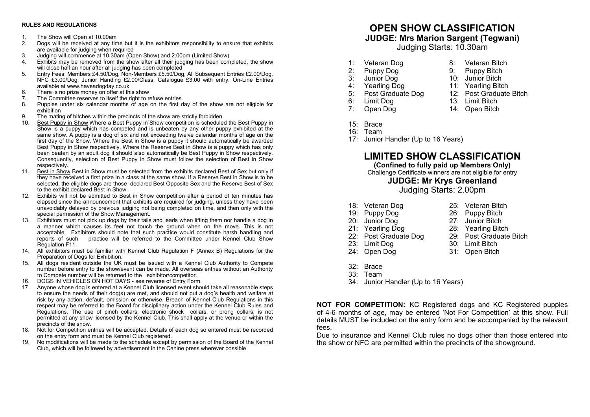#### **RULES AND REGULATIONS**

- 1. The Show will Open at 10.00am<br>2. Dogs will be received at any tin
- 2. Dogs will be received at any time but it is the exhibitors responsibility to ensure that exhibits are available for judging when required
- 3. Judging will commence at 10.30am (Open Show) and 2.00pm (Limited Show)
- Exhibits may be removed from the show after all their judging has been completed, the show will close half an hour after all judging has been completed
- 5. Entry Fees: Members £4.50/Dog, Non-Members £5.50/Dog, All Subsequent Entries £2.00/Dog, NFC £3.00/Dog, Junior Handing £2.00/Class, Catalogue £3.00 with entry. On-Line Entries available at www.haveadogday.co.uk
- 6. There is no prize money on offer at this show
- 7. The Committee reserves to itself the right to refuse entries.
- 8. Puppies under six calendar months of age on the first day of the show are not eligible for exhibition
- 9. The mating of bitches within the precincts of the show are strictly forbidden<br>10. Best Punny in Show Where a Best Punny in Show competition is schedule
- Best Puppy in Show Where a Best Puppy in Show competition is scheduled the Best Puppy in Show is a puppy which has competed and is unbeaten by any other puppy exhibited at the same show. A puppy is a dog of six and not exceeding twelve calendar months of age on the first day of the Show. Where the Best in Show is a puppy it should automatically be awarded Best Puppy in Show respectively. Where the Reserve Best in Show is a puppy which has only been beaten by an adult dog it should also automatically be Best Puppy in Show respectively. Consequently, selection of Best Puppy in Show must follow the selection of Best in Show respectively.
- 11. Best in Show Best in Show must be selected from the exhibits declared Best of Sex but only if they have received a first prize in a class at the same show. If a Reserve Best in Show is to be selected, the eligible dogs are those declared Best Opposite Sex and the Reserve Best of Sex to the exhibit declared Best in Show.
- 12. Exhibits will not be admitted to Best in Show competition after a period of ten minutes has elapsed since the announcement that exhibits are required for judging, unless they have been unavoidably delayed by previous judging not being completed on time, and then only with the special permission of the Show Management.
- 13. Exhibitors must not pick up dogs by their tails and leads when lifting them nor handle a dog in a manner which causes its feet not touch the ground when on the move. This is not acceptable. Exhibitors should note that such practice would constitute harsh handling and reports of such practice will be referred to the Committee under Kennel Club Show Regulation F11.
- 14. All exhibitors must be familiar with Kennel Club Regulation F (Annex B) Regulations for the Preparation of Dogs for Exhibition.
- 15. All dogs resident outside the UK must be issued with a Kennel Club Authority to Compete number before entry to the show/event can be made. All overseas entries without an Authority to Compete number will be returned to the exhibitor/competitor.
- 16. DOGS IN VEHICLES ON HOT DAYS see reverse of Entry Form.
- 17. Anyone whose dog is entered at a Kennel Club licensed event should take all reasonable steps to ensure the needs of their dog(s) are met, and should not put a dog's health and welfare at risk by any action, default, omission or otherwise. Breach of Kennel Club Regulations in this respect may be referred to the Board for disciplinary action under the Kennel Club Rules and Regulations. The use of pinch collars, electronic shock collars, or prong collars, is not permitted at any show licensed by the Kennel Club. This shall apply at the venue or within the precincts of the show.
- 18. Not for Competition entries will be accepted. Details of each dog so entered must be recorded on the entry form and must be Kennel Club registered.
- 19. No modifications will be made to the schedule except by permission of the Board of the Kennel Club, which will be followed by advertisement in the Canine press wherever possible

## **OPEN SHOW CLASSIFICATION**

### **JUDGE: Mrs Marion Sargent (Tegwani)**

Judging Starts: 10.30am

- 1: Veteran Dog 8: Veteran Bitch<br>2: Puppy Dog 9: Puppy Bitch
- 
- 
- 3: Junior Dog 10: Junior Bitch
- 4: Yearling Dog 11: Yearling Bitch<br>5: Post Graduate Dog 12: Post Graduate 5: Post Graduate Dog 12: Post Graduate Bitch<br>6: Limit Dog 13: Limit Bitch
- 6: Limit Dog 13: Limit Bitch
	-

26: Puppy Bitch

Puppy Bitch

- 7: Open Dog 14: Open Bitch
- 15: Brace
- 16: Team
- 17: Junior Handler (Up to 16 Years)

### **LIMITED SHOW CLASSIFICATION**

### **(Confined to fully paid up Members Only)**

Challenge Certificate winners are not eligible for entry

### **JUDGE: Mr Krys Greenland**

Judging Starts: 2.00pm

- 18: Veteran Dog 25: Veteran Bitch<br>19: Puppy Dog 26: Puppy Bitch
	-
- 20: Junior Dog 27: Junior Bitch
- 21: Yearling Dog 28: Yearling Bitch<br>22: Post Graduate Dog 29: Post Graduate Bitch
- 22: Post Graduate Dog
- 23: Limit Dog 30: Limit Bitch
- 24: Open Dog 31: Open Bitch
- 32: Brace
- 33: Team
- 34: Junior Handler (Up to 16 Years)

**NOT FOR COMPETITION:** KC Registered dogs and KC Registered puppies of 4-6 months of age, may be entered 'Not For Competition' at this show. Full details MUST be included on the entry form and be accompanied by the relevant fees.

Due to insurance and Kennel Club rules no dogs other than those entered into the show or NFC are permitted within the precincts of the showground.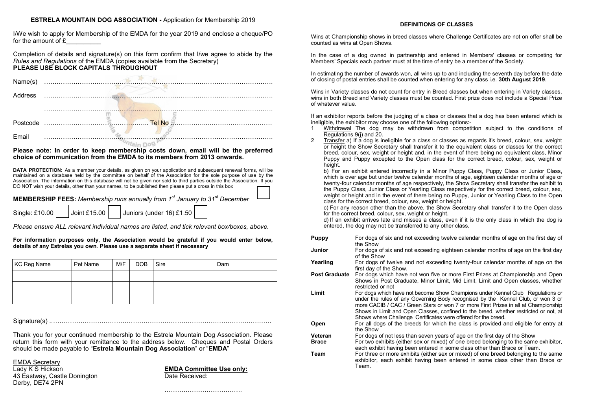### **ESTRELA MOUNTAIN DOG ASSOCIATION -** Application for Membership 2019

I/We wish to apply for Membership of the EMDA for the year 2019 and enclose a cheque/PO for the amount of  $E$ 

Completion of details and signature(s) on this form confirm that I/we agree to abide by the *Rules and Regulations* of the EMDA (copies available from the Secretary) **PLEASE USE BLOCK CAPITALS THROUGHOUT**



#### **Please note: In order to keep membership costs down, email will be the preferred choice of communication from the EMDA to its members from 2013 onwards.**

**DATA PROTECTION:** As a member your details, as given on your application and subsequent renewal forms, will be maintained on a database held by the committee on behalf of the Association for the sole purpose of use by the Association. The information on this database will not be given nor sold to third parties outside the Association. If you DO NOT wish your details, other than your names, to be published then please put a cross in this box

**MEMBERSHIP FEES:** *Membership runs annually from 1st January to 31st December*

Single: £10.00 Joint £15.00 Juniors (under 16) £1.50

*Please ensure ALL relevant individual names are listed, and tick relevant box/boxes, above.*

**For information purposes only, the Association would be grateful if you would enter below, details of any Estrelas you own**. **Please use a separate sheet if necessary**

| KC Reg Name | Pet Name | M/F | DOB Sire | Dam |
|-------------|----------|-----|----------|-----|
|             |          |     |          |     |
|             |          |     |          |     |
|             |          |     |          |     |

Signature(s) .……………………………………………………………………………………………

Thank you for your continued membership to the Estrela Mountain Dog Association. Please return this form with your remittance to the address below. Cheques and Postal Orders should be made payable to "**Estrela Mountain Dog Association**" or "**EMDA**"

EMDA Secretary

43 Eastway, Castle Donington **Date Received:** Derby, DE74 2PN

Lady K S Hickson **EMDA Committee Use only:**

#### **DEFINITIONS OF CLASSES**

Wins at Championship shows in breed classes where Challenge Certificates are not on offer shall be counted as wins at Open Shows.

In the case of a dog owned in partnership and entered in Members' classes or competing for Members' Specials each partner must at the time of entry be a member of the Society.

In estimating the number of awards won, all wins up to and including the seventh day before the date of closing of postal entries shall be counted when entering for any class i.e. **30th August 2019**.

Wins in Variety classes do not count for entry in Breed classes but when entering in Variety classes wins in both Breed and Variety classes must be counted. First prize does not include a Special Prize of whatever value.

If an exhibitor reports before the judging of a class or classes that a dog has been entered which is ineligible, the exhibitor may choose one of the following options:-

- 1 Withdrawal The dog may be withdrawn from competition subject to the conditions of Regulations 9(j) and 20.
- 2 Transfer a) If a dog is ineligible for a class or classes as regards it's breed, colour, sex, weight or height the Show Secretary shall transfer it to the equivalent class or classes for the correct breed, colour, sex, weight or height and, in the event of there being no equivalent class, Minor Puppy and Puppy excepted to the Open class for the correct breed, colour, sex, weight or height.

b) For an exhibit entered incorrectly in a Minor Puppy Class, Puppy Class or Junior Class, which is over age but under twelve calendar months of age, eighteen calendar months of age or twenty-four calendar months of age respectively, the Show Secretary shall transfer the exhibit to the Puppy Class, Junior Class or Yearling Class respectively for the correct breed, colour, sex, weight or height and in the event of there being no Puppy, Junior or Yearling Class to the Open class for the correct breed, colour, sex, weight or height.

c) For any reason other than the above, the Show Secretary shall transfer it to the Open class for the correct breed, colour, sex, weight or height.

d) If an exhibit arrives late and misses a class, even if it is the only class in which the dog is entered, the dog may not be transferred to any other class.

| Puppy         | For dogs of six and not exceeding twelve calendar months of age on the first day of |
|---------------|-------------------------------------------------------------------------------------|
|               | the Show                                                                            |
| Junior        | For dogs of six and not exceeding eighteen calendar months of age on the first day  |
|               | of the Show                                                                         |
| Yearling      | For dogs of twelve and not exceeding twenty-four calendar months of age on the      |
|               | first day of the Show.                                                              |
| Post Graduate | For dogs which have not won five or more First Prizes at Championship and Open      |
|               | Shows in Post Graduate, Minor Limit, Mid Limit, Limit and Open classes, whether     |

- t Graduate, Minor Limit, Mid Limit, Limit and Open classes, whethe restricted or not
- **Limit** For dogs which have not become Show Champions under Kennel Club Regulations or under the rules of any Governing Body recognised by the Kennel Club, or won 3 or more CACIB / CAC / Green Stars or won 7 or more First Prizes in all at Championship Shows in Limit and Open Classes, confined to the breed, whether restricted or not, at Shows where Challenge Certificates were offered for the breed.
- **Open** For all dogs of the breeds for which the class is provided and eligible for entry at the Show
- **Veteran** For dogs of not less than seven years of age on the first day of the Show
- **Brace** For two exhibits (either sex or mixed) of one breed belonging to the same exhibitor, each exhibit having been entered in some class other than Brace or Team.
- **Team** For three or more exhibits (either sex or mixed) of one breed belonging to the same exhibitor, each exhibit having been entered in some class other than Brace or Team.

……………………………….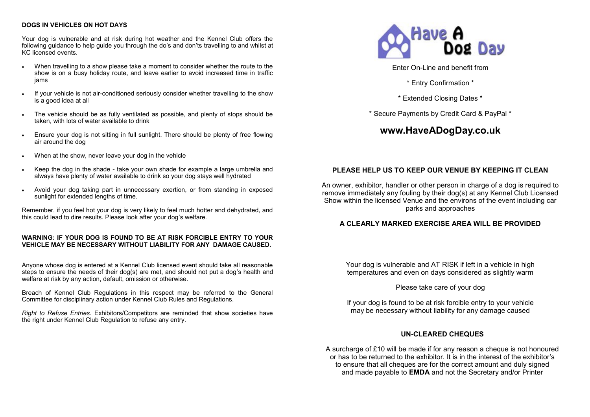### **DOGS IN VEHICLES ON HOT DAYS**

Your dog is vulnerable and at risk during hot weather and the Kennel Club offers the following guidance to help guide you through the do's and don'ts travelling to and whilst at KC licensed events.

- When travelling to a show please take a moment to consider whether the route to the show is on a busy holiday route, and leave earlier to avoid increased time in traffic jams
- If your vehicle is not air-conditioned seriously consider whether travelling to the show is a good idea at all
- The vehicle should be as fully ventilated as possible, and plenty of stops should be taken, with lots of water available to drink
- Ensure your dog is not sitting in full sunlight. There should be plenty of free flowing air around the dog
- When at the show, never leave your dog in the vehicle
- Keep the dog in the shade take your own shade for example a large umbrella and always have plenty of water available to drink so your dog stays well hydrated
- Avoid your dog taking part in unnecessary exertion, or from standing in exposed sunlight for extended lengths of time.

Remember, if you feel hot your dog is very likely to feel much hotter and dehydrated, and this could lead to dire results. Please look after your dog's welfare.

### **WARNING: IF YOUR DOG IS FOUND TO BE AT RISK FORCIBLE ENTRY TO YOUR VEHICLE MAY BE NECESSARY WITHOUT LIABILITY FOR ANY DAMAGE CAUSED.**

Anyone whose dog is entered at a Kennel Club licensed event should take all reasonable steps to ensure the needs of their dog(s) are met, and should not put a dog's health and welfare at risk by any action, default, omission or otherwise.

Breach of Kennel Club Regulations in this respect may be referred to the General Committee for disciplinary action under Kennel Club Rules and Regulations.

*Right to Refuse Entries*. Exhibitors/Competitors are reminded that show societies have the right under Kennel Club Regulation to refuse any entry.



Enter On-Line and benefit from

\* Entry Confirmation \*

\* Extended Closing Dates \*

\* Secure Payments by Credit Card & PayPal \*

### **www.HaveADogDay.co.uk**

### **PLEASE HELP US TO KEEP OUR VENUE BY KEEPING IT CLEAN**

An owner, exhibitor, handler or other person in charge of a dog is required to remove immediately any fouling by their dog(s) at any Kennel Club Licensed Show within the licensed Venue and the environs of the event including car parks and approaches

### **A CLEARLY MARKED EXERCISE AREA WILL BE PROVIDED**

Your dog is vulnerable and AT RISK if left in a vehicle in high temperatures and even on days considered as slightly warm

Please take care of your dog

If your dog is found to be at risk forcible entry to your vehicle may be necessary without liability for any damage caused

### **UN-CLEARED CHEQUES**

A surcharge of £10 will be made if for any reason a cheque is not honoured or has to be returned to the exhibitor. It is in the interest of the exhibitor's to ensure that all cheques are for the correct amount and duly signed and made payable to **EMDA** and not the Secretary and/or Printer